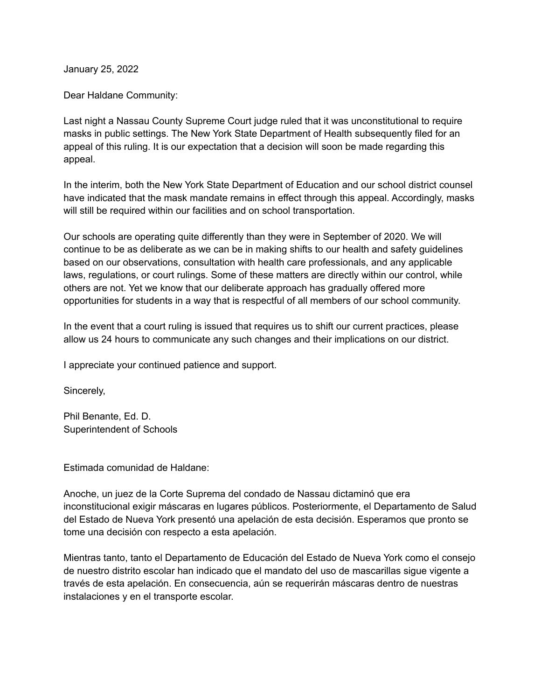January 25, 2022

Dear Haldane Community:

Last night a Nassau County Supreme Court judge ruled that it was unconstitutional to require masks in public settings. The New York State Department of Health subsequently filed for an appeal of this ruling. It is our expectation that a decision will soon be made regarding this appeal.

In the interim, both the New York State Department of Education and our school district counsel have indicated that the mask mandate remains in effect through this appeal. Accordingly, masks will still be required within our facilities and on school transportation.

Our schools are operating quite differently than they were in September of 2020. We will continue to be as deliberate as we can be in making shifts to our health and safety guidelines based on our observations, consultation with health care professionals, and any applicable laws, regulations, or court rulings. Some of these matters are directly within our control, while others are not. Yet we know that our deliberate approach has gradually offered more opportunities for students in a way that is respectful of all members of our school community.

In the event that a court ruling is issued that requires us to shift our current practices, please allow us 24 hours to communicate any such changes and their implications on our district.

I appreciate your continued patience and support.

Sincerely,

Phil Benante, Ed. D. Superintendent of Schools

Estimada comunidad de Haldane:

Anoche, un juez de la Corte Suprema del condado de Nassau dictaminó que era inconstitucional exigir máscaras en lugares públicos. Posteriormente, el Departamento de Salud del Estado de Nueva York presentó una apelación de esta decisión. Esperamos que pronto se tome una decisión con respecto a esta apelación.

Mientras tanto, tanto el Departamento de Educación del Estado de Nueva York como el consejo de nuestro distrito escolar han indicado que el mandato del uso de mascarillas sigue vigente a través de esta apelación. En consecuencia, aún se requerirán máscaras dentro de nuestras instalaciones y en el transporte escolar.